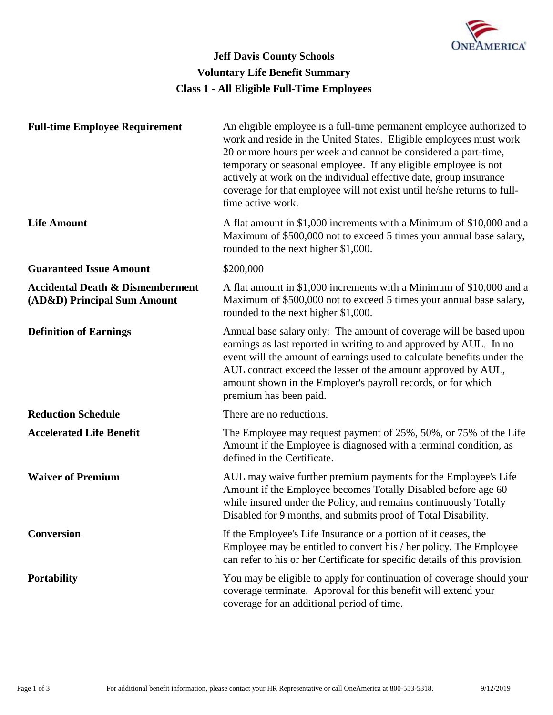

# **Class 1 - All Eligible Full-Time Employees Jeff Davis County Schools Voluntary Life Benefit Summary**

| <b>Full-time Employee Requirement</b>                                      | An eligible employee is a full-time permanent employee authorized to<br>work and reside in the United States. Eligible employees must work<br>20 or more hours per week and cannot be considered a part-time,<br>temporary or seasonal employee. If any eligible employee is not<br>actively at work on the individual effective date, group insurance<br>coverage for that employee will not exist until he/she returns to full-<br>time active work. |
|----------------------------------------------------------------------------|--------------------------------------------------------------------------------------------------------------------------------------------------------------------------------------------------------------------------------------------------------------------------------------------------------------------------------------------------------------------------------------------------------------------------------------------------------|
| <b>Life Amount</b>                                                         | A flat amount in \$1,000 increments with a Minimum of \$10,000 and a<br>Maximum of \$500,000 not to exceed 5 times your annual base salary,<br>rounded to the next higher \$1,000.                                                                                                                                                                                                                                                                     |
| <b>Guaranteed Issue Amount</b>                                             | \$200,000                                                                                                                                                                                                                                                                                                                                                                                                                                              |
| <b>Accidental Death &amp; Dismemberment</b><br>(AD&D) Principal Sum Amount | A flat amount in \$1,000 increments with a Minimum of \$10,000 and a<br>Maximum of \$500,000 not to exceed 5 times your annual base salary,<br>rounded to the next higher \$1,000.                                                                                                                                                                                                                                                                     |
| <b>Definition of Earnings</b>                                              | Annual base salary only: The amount of coverage will be based upon<br>earnings as last reported in writing to and approved by AUL. In no<br>event will the amount of earnings used to calculate benefits under the<br>AUL contract exceed the lesser of the amount approved by AUL,<br>amount shown in the Employer's payroll records, or for which<br>premium has been paid.                                                                          |
| <b>Reduction Schedule</b>                                                  | There are no reductions.                                                                                                                                                                                                                                                                                                                                                                                                                               |
| <b>Accelerated Life Benefit</b>                                            | The Employee may request payment of 25%, 50%, or 75% of the Life<br>Amount if the Employee is diagnosed with a terminal condition, as<br>defined in the Certificate.                                                                                                                                                                                                                                                                                   |
| <b>Waiver of Premium</b>                                                   | AUL may waive further premium payments for the Employee's Life<br>Amount if the Employee becomes Totally Disabled before age 60<br>while insured under the Policy, and remains continuously Totally<br>Disabled for 9 months, and submits proof of Total Disability.                                                                                                                                                                                   |
| <b>Conversion</b>                                                          | If the Employee's Life Insurance or a portion of it ceases, the<br>Employee may be entitled to convert his / her policy. The Employee<br>can refer to his or her Certificate for specific details of this provision.                                                                                                                                                                                                                                   |
| <b>Portability</b>                                                         | You may be eligible to apply for continuation of coverage should your<br>coverage terminate. Approval for this benefit will extend your<br>coverage for an additional period of time.                                                                                                                                                                                                                                                                  |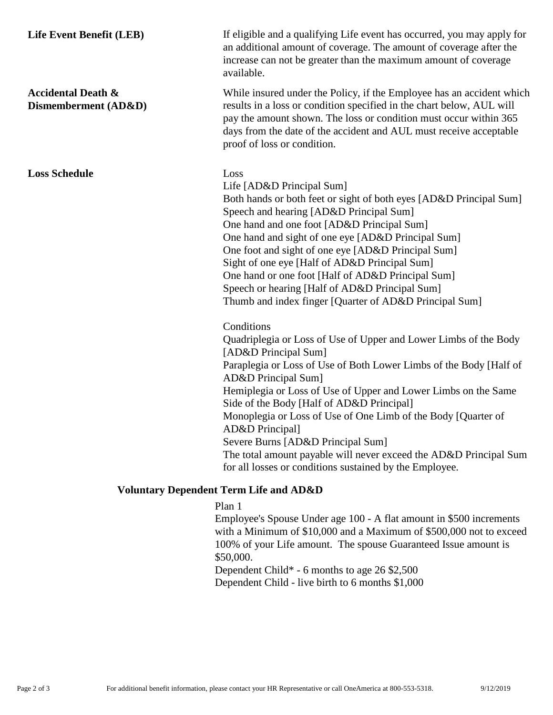# **Accidental Death & Dismemberment (AD&D)**

**Loss Schedule** Loss

Life Event Benefit (LEB) If eligible and a qualifying Life event has occurred, you may apply for an additional amount of coverage. The amount of coverage after the increase can not be greater than the maximum amount of coverage available.

> While insured under the Policy, if the Employee has an accident which results in a loss or condition specified in the chart below, AUL will pay the amount shown. The loss or condition must occur within 365 days from the date of the accident and AUL must receive acceptable proof of loss or condition.

Life [AD&D Principal Sum]

Both hands or both feet or sight of both eyes [AD&D Principal Sum] Speech and hearing [AD&D Principal Sum] One hand and one foot [AD&D Principal Sum] One hand and sight of one eye [AD&D Principal Sum] One foot and sight of one eye [AD&D Principal Sum] Sight of one eye [Half of AD&D Principal Sum] One hand or one foot [Half of AD&D Principal Sum] Speech or hearing [Half of AD&D Principal Sum] Thumb and index finger [Quarter of AD&D Principal Sum]

# **Conditions**

Quadriplegia or Loss of Use of Upper and Lower Limbs of the Body [AD&D Principal Sum] Paraplegia or Loss of Use of Both Lower Limbs of the Body [Half of AD&D Principal Sum] Hemiplegia or Loss of Use of Upper and Lower Limbs on the Same Side of the Body [Half of AD&D Principal] Monoplegia or Loss of Use of One Limb of the Body [Quarter of AD&D Principal] Severe Burns [AD&D Principal Sum] The total amount payable will never exceed the AD&D Principal Sum for all losses or conditions sustained by the Employee.

### **Voluntary Dependent Term Life and AD&D**

### Plan 1

Employee's Spouse Under age 100 - A flat amount in \$500 increments with a Minimum of \$10,000 and a Maximum of \$500,000 not to exceed 100% of your Life amount. The spouse Guaranteed Issue amount is \$50,000.

Dependent Child\* - 6 months to age 26 \$2,500 Dependent Child - live birth to 6 months \$1,000